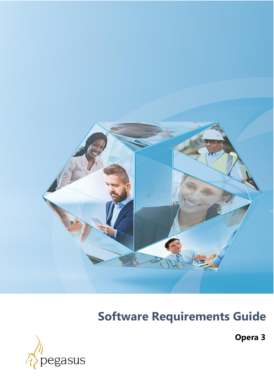

# **Software Requirements Guide**



**Opera 3**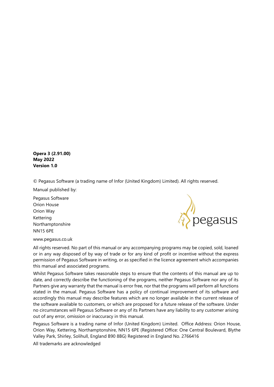**Opera 3 (2.91.00) May 2022 Version 1.0**

© Pegasus Software (a trading name of Infor (United Kingdom) Limited). All rights reserved.

Manual published by:

Pegasus Software Orion House Orion Way Kettering Northamptonshire NN15 6PE



www.pegasus.co.uk

All rights reserved. No part of this manual or any accompanying programs may be copied, sold, loaned or in any way disposed of by way of trade or for any kind of profit or incentive without the express permission of Pegasus Software in writing, or as specified in the licence agreement which accompanies this manual and associated programs.

Whilst Pegasus Software takes reasonable steps to ensure that the contents of this manual are up to date, and correctly describe the functioning of the programs, neither Pegasus Software nor any of its Partners give any warranty that the manual is error free, nor that the programs will perform all functions stated in the manual. Pegasus Software has a policy of continual improvement of its software and accordingly this manual may describe features which are no longer available in the current release of the software available to customers, or which are proposed for a future release of the software. Under no circumstances will Pegasus Software or any of its Partners have any liability to any customer arising out of any error, omission or inaccuracy in this manual.

Pegasus Software is a trading name of Infor (United Kingdom) Limited. Office Address: Orion House, Orion Way, Kettering, Northamptonshire, NN15 6PE (Registered Office: One Central Boulevard, Blythe Valley Park, Shirley, Solihull, England B90 8BG) Registered in England No. 2766416

All trademarks are acknowledged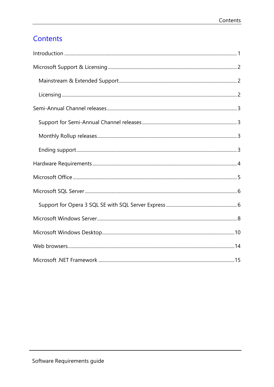# Contents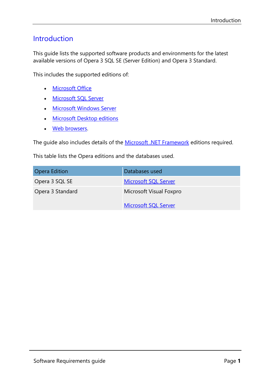## <span id="page-3-0"></span>Introduction

This guide lists the supported software products and environments for the latest available versions of Opera 3 SQL SE (Server Edition) and Opera 3 Standard.

This includes the supported editions of:

- [Microsoft Office](#page-7-1)
- [Microsoft SQL Server](#page-8-1)
- [Microsoft Windows Server](#page-10-1)
- [Microsoft Desktop editions](#page-12-1)
- [Web browsers.](#page-16-1)

The guide also includes details of the [Microsoft .NET Framework](#page-17-1) editions required.

This table lists the Opera editions and the databases used.

| <b>Opera Edition</b> | Databases used              |
|----------------------|-----------------------------|
| Opera 3 SQL SE       | <b>Microsoft SQL Server</b> |
| Opera 3 Standard     | Microsoft Visual Foxpro     |
|                      | <b>Microsoft SQL Server</b> |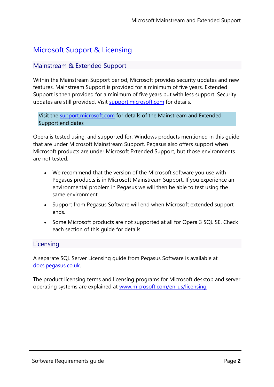## <span id="page-4-0"></span>Microsoft Support & Licensing

#### <span id="page-4-1"></span>Mainstream & Extended Support

Within the Mainstream Support period, Microsoft provides security updates and new features. Mainstream Support is provided for a minimum of five years. Extended Support is then provided for a minimum of five years but with less support. Security updates are still provided. Visit [support.microsoft.com](https://support.microsoft.com/) for details.

Visit the [support.microsoft.com](https://support.microsoft.com/en-gb/hub/4095338/microsoft-lifecycle-policy) for details of the Mainstream and Extended Support end dates

Opera is tested using, and supported for, Windows products mentioned in this guide that are under Microsoft Mainstream Support. Pegasus also offers support when Microsoft products are under Microsoft Extended Support, but those environments are not tested.

- We recommend that the version of the Microsoft software you use with Pegasus products is in Microsoft Mainstream Support. If you experience an environmental problem in Pegasus we will then be able to test using the same environment.
- Support from Pegasus Software will end when Microsoft extended support ends.
- Some Microsoft products are not supported at all for Opera 3 SQL SE. Check each section of this guide for details.

#### <span id="page-4-2"></span>**Licensing**

A separate SQL Server Licensing guide from Pegasus Software is available at [docs.pegasus.co.uk.](https://docs.pegasus.co.uk/Guides/Latest/SQL_Server_Licensing_Guide.pdf)

The product licensing terms and licensing programs for Microsoft desktop and server operating systems are explained at [www.microsoft.com/en-us/licensing.](www.microsoft.com/en-us/licensing)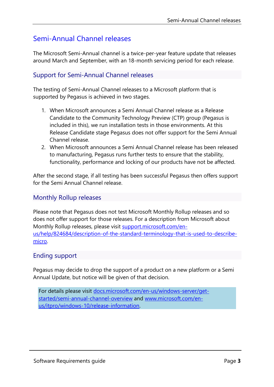## <span id="page-5-0"></span>Semi-Annual Channel releases

The Microsoft Semi-Annual channel is a twice-per-year feature update that releases around March and September, with an 18-month servicing period for each release.

#### <span id="page-5-1"></span>Support for Semi-Annual Channel releases

The testing of Semi-Annual Channel releases to a Microsoft platform that is supported by Pegasus is achieved in two stages.

- 1. When Microsoft announces a Semi Annual Channel release as a Release Candidate to the Community Technology Preview (CTP) group (Pegasus is included in this), we run installation tests in those environments. At this Release Candidate stage Pegasus does not offer support for the Semi Annual Channel release.
- 2. When Microsoft announces a Semi Annual Channel release has been released to manufacturing, Pegasus runs further tests to ensure that the stability, functionality, performance and locking of our products have not be affected.

After the second stage, if all testing has been successful Pegasus then offers support for the Semi Annual Channel release.

#### <span id="page-5-2"></span>Monthly Rollup releases

Please note that Pegasus does not test Microsoft Monthly Rollup releases and so does not offer support for those releases. For a description from Microsoft about Monthly Rollup releases, please visit [support.microsoft.com/en](https://support.microsoft.com/en-us/help/824684/description-of-the-standard-terminology-that-is-used-to-describe-micro)[us/help/824684/description-of-the-standard-terminology-that-is-used-to-describe](https://support.microsoft.com/en-us/help/824684/description-of-the-standard-terminology-that-is-used-to-describe-micro)[micro.](https://support.microsoft.com/en-us/help/824684/description-of-the-standard-terminology-that-is-used-to-describe-micro)

#### <span id="page-5-3"></span>Ending support

Pegasus may decide to drop the support of a product on a new platform or a Semi Annual Update, but notice will be given of that decision.

For details please visit [docs.microsoft.com/en-us/windows-server/get](https://docs.microsoft.com/en-us/windows-server/get-started/semi-annual-channel-overview)[started/semi-annual-channel-overview](https://docs.microsoft.com/en-us/windows-server/get-started/semi-annual-channel-overview) and [www.microsoft.com/en](https://www.microsoft.com/en-us/itpro/windows-10/release-information)[us/itpro/windows-10/release-information.](https://www.microsoft.com/en-us/itpro/windows-10/release-information)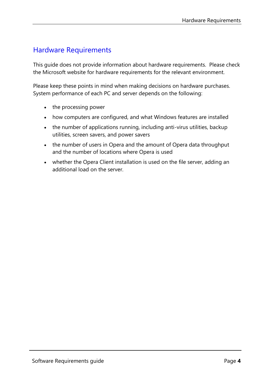## <span id="page-6-0"></span>Hardware Requirements

This guide does not provide information about hardware requirements. Please check the Microsoft website for hardware requirements for the relevant environment.

Please keep these points in mind when making decisions on hardware purchases. System performance of each PC and server depends on the following:

- the processing power
- how computers are configured, and what Windows features are installed
- the number of applications running, including anti-virus utilities, backup utilities, screen savers, and power savers
- the number of users in Opera and the amount of Opera data throughput and the number of locations where Opera is used
- whether the Opera Client installation is used on the file server, adding an additional load on the server.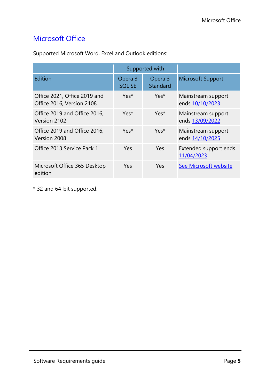## <span id="page-7-1"></span><span id="page-7-0"></span>Microsoft Office

|                                                           | Supported with           |                     |                                       |
|-----------------------------------------------------------|--------------------------|---------------------|---------------------------------------|
| Edition                                                   | Opera 3<br><b>SQL SE</b> | Opera 3<br>Standard | <b>Microsoft Support</b>              |
| Office 2021, Office 2019 and<br>Office 2016, Version 2108 | Yes <sup>*</sup>         | Yes <sup>*</sup>    | Mainstream support<br>ends 10/10/2023 |
| Office 2019 and Office 2016,<br>Version 2102              | Yes*                     | Yes*                | Mainstream support<br>ends 13/09/2022 |
| Office 2019 and Office 2016,<br>Version 2008              | Yes*                     | Yes*                | Mainstream support<br>ends 14/10/2025 |
| Office 2013 Service Pack 1                                | <b>Yes</b>               | Yes                 | Extended support ends<br>11/04/2023   |
| Microsoft Office 365 Desktop<br>edition                   | Yes                      | Yes                 | See Microsoft website                 |

Supported Microsoft Word, Excel and Outlook editions:

\* 32 and 64-bit supported.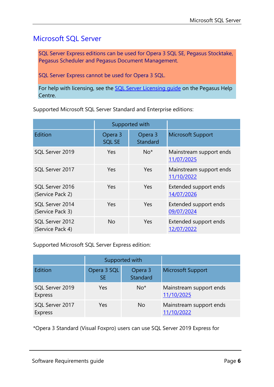## <span id="page-8-1"></span><span id="page-8-0"></span>Microsoft SQL Server

SQL Server Express editions can be used for Opera 3 SQL SE, Pegasus Stocktake, Pegasus Scheduler and Pegasus Document Management.

SQL Server Express cannot be used for Opera 3 SQL.

For help with licensing, see the SQL Server Licensing quide on the Pegasus Help Centre.

Supported Microsoft SQL Server Standard and Enterprise editions:

|                                     | Supported with           |                     |                                       |
|-------------------------------------|--------------------------|---------------------|---------------------------------------|
| Edition                             | Opera 3<br><b>SQL SE</b> | Opera 3<br>Standard | <b>Microsoft Support</b>              |
| SQL Server 2019                     | Yes                      | $No*$               | Mainstream support ends<br>11/07/2025 |
| SQL Server 2017                     | Yes                      | Yes                 | Mainstream support ends<br>11/10/2022 |
| SQL Server 2016<br>(Service Pack 2) | Yes                      | Yes                 | Extended support ends<br>14/07/2026   |
| SQL Server 2014<br>(Service Pack 3) | Yes                      | Yes                 | Extended support ends<br>09/07/2024   |
| SQL Server 2012<br>(Service Pack 4) | <b>No</b>                | Yes                 | Extended support ends<br>12/07/2022   |

Supported Microsoft SQL Server Express edition:

|                                   | Supported with           |                     |                                       |
|-----------------------------------|--------------------------|---------------------|---------------------------------------|
| Edition                           | Opera 3 SQL<br><b>SE</b> | Opera 3<br>Standard | Microsoft Support                     |
| SQL Server 2019<br><b>Express</b> | <b>Yes</b>               | $No*$               | Mainstream support ends<br>11/10/2025 |
| SQL Server 2017<br><b>Express</b> | Yes                      | No.                 | Mainstream support ends<br>11/10/2022 |

\*Opera 3 Standard (Visual Foxpro) users can use SQL Server 2019 Express for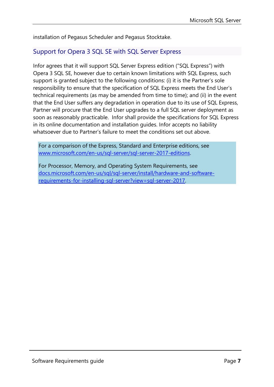installation of Pegasus Scheduler and Pegasus Stocktake.

#### Support for Opera 3 SQL SE with SQL Server Express

Infor agrees that it will support SQL Server Express edition ("SQL Express") with Opera 3 SQL SE, however due to certain known limitations with SQL Express, such support is granted subject to the following conditions: (i) it is the Partner's sole responsibility to ensure that the specification of SQL Express meets the End User's technical requirements (as may be amended from time to time); and (ii) in the event that the End User suffers any degradation in operation due to its use of SQL Express, Partner will procure that the End User upgrades to a full SQL server deployment as soon as reasonably practicable. Infor shall provide the specifications for SQL Express in its online documentation and installation guides. Infor accepts no liability whatsoever due to Partner's failure to meet the conditions set out above.

For a comparison of the Express, Standard and Enterprise editions, see [www.microsoft.com/en-us/sql-server/sql-server-2017-editions.](http://www.microsoft.com/en-us/sql-server/sql-server-2017-editions)

For Processor, Memory, and Operating System Requirements, see [docs.microsoft.com/en-us/sql/sql-server/install/hardware-and-software](docs.microsoft.com/en-us/sql/sql-server/install/hardware-and-software-requirements-for-installing-sql-server?view=sql-server-2017)[requirements-for-installing-sql-server?view=sql-server-2017.](docs.microsoft.com/en-us/sql/sql-server/install/hardware-and-software-requirements-for-installing-sql-server?view=sql-server-2017)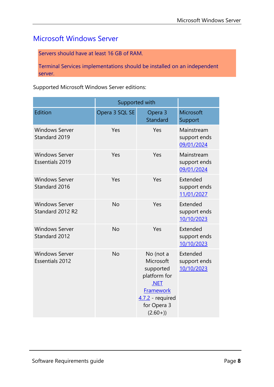## <span id="page-10-1"></span><span id="page-10-0"></span>Microsoft Windows Server

Servers should have at least 16 GB of RAM.

Terminal Services implementations should be installed on an independent server.

Supported Microsoft Windows Server editions:

|                                                 | Supported with |                                                                                                                               |                                          |
|-------------------------------------------------|----------------|-------------------------------------------------------------------------------------------------------------------------------|------------------------------------------|
| Edition                                         | Opera 3 SQL SE | Opera 3<br>Standard                                                                                                           | Microsoft<br>Support                     |
| <b>Windows Server</b><br>Standard 2019          | Yes            | Yes                                                                                                                           | Mainstream<br>support ends<br>09/01/2024 |
| <b>Windows Server</b><br><b>Essentials 2019</b> | Yes            | Yes                                                                                                                           | Mainstream<br>support ends<br>09/01/2024 |
| <b>Windows Server</b><br>Standard 2016          | Yes            | Yes                                                                                                                           | Extended<br>support ends<br>11/01/2027   |
| <b>Windows Server</b><br>Standard 2012 R2       | <b>No</b>      | Yes                                                                                                                           | Extended<br>support ends<br>10/10/2023   |
| <b>Windows Server</b><br>Standard 2012          | <b>No</b>      | Yes                                                                                                                           | Extended<br>support ends<br>10/10/2023   |
| <b>Windows Server</b><br><b>Essentials 2012</b> | <b>No</b>      | No (not a<br>Microsoft<br>supported<br>platform for<br>.NET<br><b>Framework</b><br>4.7.2 required<br>for Opera 3<br>$(2.60+)$ | Extended<br>support ends<br>10/10/2023   |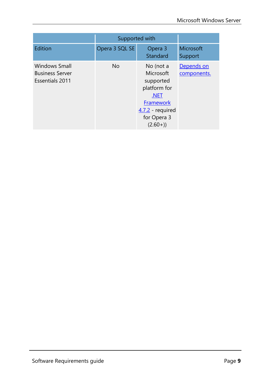|                                                                          | Supported with |                                                                                                                          |                           |
|--------------------------------------------------------------------------|----------------|--------------------------------------------------------------------------------------------------------------------------|---------------------------|
| Edition                                                                  | Opera 3 SQL SE | Opera 3<br>Standard                                                                                                      | Microsoft<br>Support      |
| <b>Windows Small</b><br><b>Business Server</b><br><b>Essentials 2011</b> | <b>No</b>      | No (not a<br>Microsoft<br>supported<br>platform for<br>.NET<br>Framework<br>$4.7.2$ required<br>for Opera 3<br>$(2.60+)$ | Depends on<br>components. |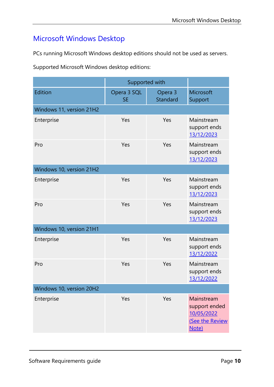## <span id="page-12-1"></span><span id="page-12-0"></span>Microsoft Windows Desktop

PCs running Microsoft Windows desktop editions should not be used as servers.

Supported Microsoft Windows desktop editions:

|                          | Supported with           |                     |                                                                       |
|--------------------------|--------------------------|---------------------|-----------------------------------------------------------------------|
| Edition                  | Opera 3 SQL<br><b>SE</b> | Opera 3<br>Standard | Microsoft<br>Support                                                  |
| Windows 11, version 21H2 |                          |                     |                                                                       |
| Enterprise               | Yes                      | Yes                 | Mainstream<br>support ends<br>13/12/2023                              |
| Pro                      | Yes                      | Yes                 | Mainstream<br>support ends<br>13/12/2023                              |
| Windows 10, version 21H2 |                          |                     |                                                                       |
| Enterprise               | Yes                      | Yes                 | Mainstream<br>support ends<br>13/12/2023                              |
| Pro                      | Yes                      | Yes                 | Mainstream<br>support ends<br>13/12/2023                              |
| Windows 10, version 21H1 |                          |                     |                                                                       |
| Enterprise               | Yes                      | Yes                 | Mainstream<br>support ends<br>13/12/2022                              |
| Pro                      | Yes                      | Yes                 | Mainstream<br>support ends<br>13/12/2022                              |
| Windows 10, version 20H2 |                          |                     |                                                                       |
| Enterprise               | Yes                      | Yes                 | Mainstream<br>support ended<br>10/05/2022<br>(See the Review<br>Note) |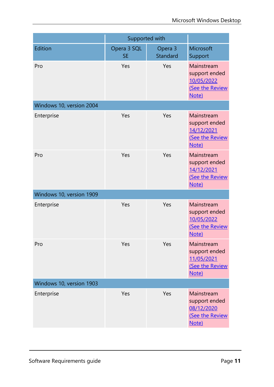|                          | Supported with           |                     |                                                                       |
|--------------------------|--------------------------|---------------------|-----------------------------------------------------------------------|
| Edition                  | Opera 3 SQL<br><b>SE</b> | Opera 3<br>Standard | Microsoft<br>Support                                                  |
| Pro                      | Yes                      | Yes                 | Mainstream<br>support ended<br>10/05/2022<br>(See the Review<br>Note) |
| Windows 10, version 2004 |                          |                     |                                                                       |
| Enterprise               | Yes                      | Yes                 | Mainstream<br>support ended<br>14/12/2021<br>(See the Review<br>Note) |
| Pro                      | Yes                      | Yes                 | Mainstream<br>support ended<br>14/12/2021<br>(See the Review<br>Note) |
| Windows 10, version 1909 |                          |                     |                                                                       |
| Enterprise               | Yes                      | Yes                 | Mainstream<br>support ended<br>10/05/2022<br>(See the Review<br>Note) |
| Pro                      | Yes                      | Yes                 | Mainstream<br>support ended<br>11/05/2021<br>(See the Review<br>Note) |
| Windows 10, version 1903 |                          |                     |                                                                       |
| Enterprise               | Yes                      | Yes                 | Mainstream<br>support ended<br>08/12/2020<br>(See the Review<br>Note) |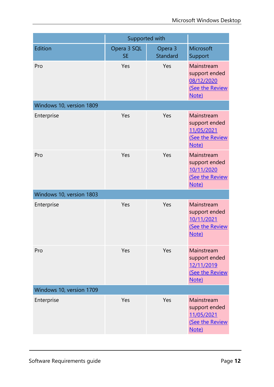|                          | Supported with           |                     |                                                                       |
|--------------------------|--------------------------|---------------------|-----------------------------------------------------------------------|
| Edition                  | Opera 3 SQL<br><b>SE</b> | Opera 3<br>Standard | Microsoft<br>Support                                                  |
| Pro                      | Yes                      | Yes                 | Mainstream<br>support ended<br>08/12/2020<br>(See the Review<br>Note) |
| Windows 10, version 1809 |                          |                     |                                                                       |
| Enterprise               | Yes                      | Yes                 | Mainstream<br>support ended<br>11/05/2021<br>(See the Review<br>Note) |
| Pro                      | Yes                      | Yes                 | Mainstream<br>support ended<br>10/11/2020<br>(See the Review<br>Note) |
| Windows 10, version 1803 |                          |                     |                                                                       |
| Enterprise               | Yes                      | Yes                 | Mainstream<br>support ended<br>10/11/2021<br>(See the Review<br>Note) |
| Pro                      | Yes                      | Yes                 | Mainstream<br>support ended<br>12/11/2019<br>(See the Review<br>Note) |
| Windows 10, version 1709 |                          |                     |                                                                       |
| Enterprise               | Yes                      | Yes                 | Mainstream<br>support ended<br>11/05/2021<br>(See the Review<br>Note) |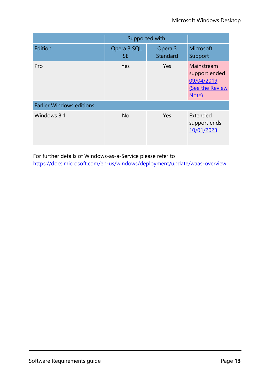|                                 | Supported with           |                     |                                                                       |
|---------------------------------|--------------------------|---------------------|-----------------------------------------------------------------------|
| Edition                         | Opera 3 SQL<br><b>SE</b> | Opera 3<br>Standard | Microsoft<br>Support                                                  |
| Pro                             | Yes                      | Yes                 | Mainstream<br>support ended<br>09/04/2019<br>(See the Review<br>Note) |
| <b>Earlier Windows editions</b> |                          |                     |                                                                       |
| Windows 8.1                     | <b>No</b>                | Yes                 | Extended<br>support ends<br>10/01/2023                                |

For further details of Windows-as-a-Service please refer to <https://docs.microsoft.com/en-us/windows/deployment/update/waas-overview>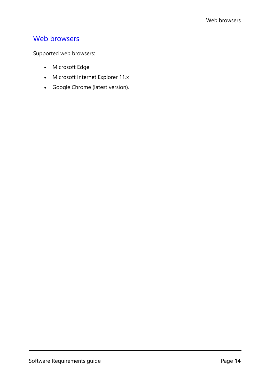### <span id="page-16-1"></span><span id="page-16-0"></span>Web browsers

Supported web browsers:

- Microsoft Edge
- Microsoft Internet Explorer 11.x
- Google Chrome (latest version).